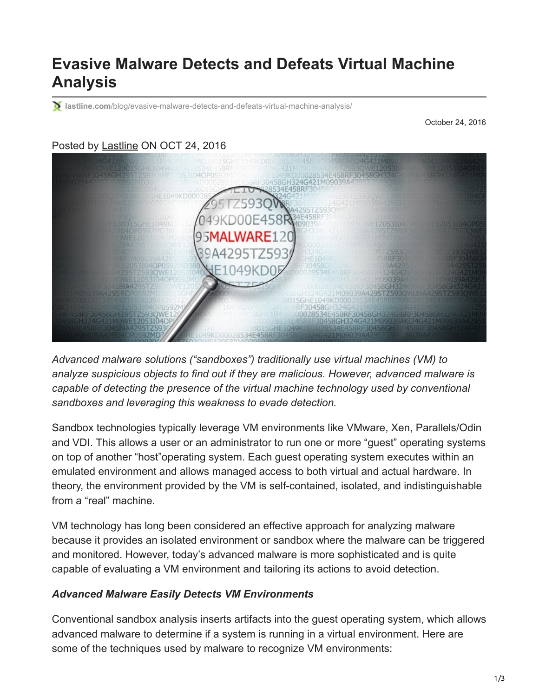# **Evasive Malware Detects and Defeats Virtual Machine Analysis**

**lastline.com**[/blog/evasive-malware-detects-and-defeats-virtual-machine-analysis/](https://www.lastline.com/blog/evasive-malware-detects-and-defeats-virtual-machine-analysis/)

October 24, 2016

## Posted by [Lastline](https://www.lastline.com/author/jrivenbark/) ON OCT 24, 2016



*Advanced malware solutions ("sandboxes") traditionally use virtual machines (VM) to analyze suspicious objects to find out if they are malicious. However, advanced malware is capable of detecting the presence of the virtual machine technology used by conventional sandboxes and leveraging this weakness to evade detection.*

Sandbox technologies typically leverage VM environments like VMware, Xen, Parallels/Odin and VDI. This allows a user or an administrator to run one or more "guest" operating systems on top of another "host"operating system. Each guest operating system executes within an emulated environment and allows managed access to both virtual and actual hardware. In theory, the environment provided by the VM is self-contained, isolated, and indistinguishable from a "real" machine.

VM technology has long been considered an effective approach for analyzing malware because it provides an isolated environment or sandbox where the malware can be triggered and monitored. However, today's advanced malware is more sophisticated and is quite capable of evaluating a VM environment and tailoring its actions to avoid detection.

#### *Advanced Malware Easily Detects VM Environments*

Conventional sandbox analysis inserts artifacts into the guest operating system, which allows advanced malware to determine if a system is running in a virtual environment. Here are some of the techniques used by malware to recognize VM environments: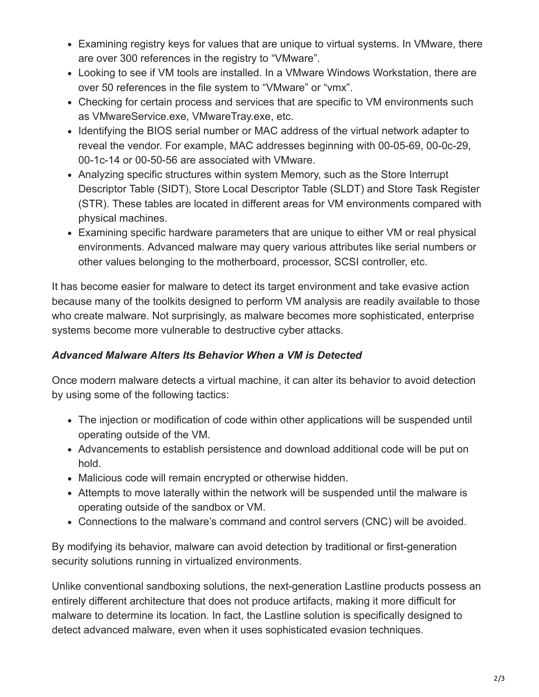- Examining registry keys for values that are unique to virtual systems. In VMware, there are over 300 references in the registry to "VMware".
- Looking to see if VM tools are installed. In a VMware Windows Workstation, there are over 50 references in the file system to "VMware" or "vmx".
- Checking for certain process and services that are specific to VM environments such as VMwareService.exe, VMwareTray.exe, etc.
- Identifying the BIOS serial number or MAC address of the virtual network adapter to reveal the vendor. For example, MAC addresses beginning with 00-05-69, 00-0c-29, 00-1c-14 or 00-50-56 are associated with VMware.
- Analyzing specific structures within system Memory, such as the Store Interrupt Descriptor Table (SIDT), Store Local Descriptor Table (SLDT) and Store Task Register (STR). These tables are located in different areas for VM environments compared with physical machines.
- Examining specific hardware parameters that are unique to either VM or real physical environments. Advanced malware may query various attributes like serial numbers or other values belonging to the motherboard, processor, SCSI controller, etc.

It has become easier for malware to detect its target environment and take evasive action because many of the toolkits designed to perform VM analysis are readily available to those who create malware. Not surprisingly, as malware becomes more sophisticated, enterprise systems become more vulnerable to destructive cyber attacks.

## *Advanced Malware Alters Its Behavior When a VM is Detected*

Once modern malware detects a virtual machine, it can alter its behavior to avoid detection by using some of the following tactics:

- The injection or modification of code within other applications will be suspended until operating outside of the VM.
- Advancements to establish persistence and download additional code will be put on hold.
- Malicious code will remain encrypted or otherwise hidden.
- Attempts to move laterally within the network will be suspended until the malware is operating outside of the sandbox or VM.
- Connections to the malware's command and control servers (CNC) will be avoided.

By modifying its behavior, malware can avoid detection by traditional or first-generation security solutions running in virtualized environments.

Unlike conventional sandboxing solutions, the next-generation Lastline products possess an entirely different architecture that does not produce artifacts, making it more difficult for malware to determine its location. In fact, the Lastline solution is specifically designed to detect advanced malware, even when it uses sophisticated evasion techniques.